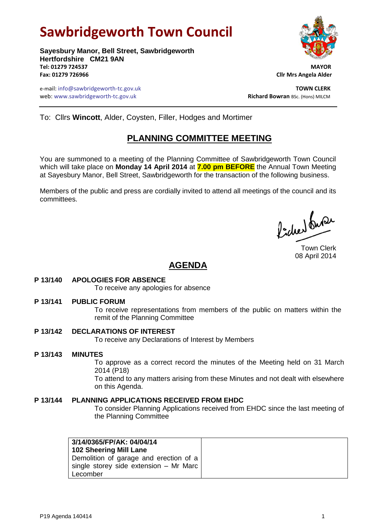# **Sawbridgeworth Town Council**

**Sayesbury Manor, Bell Street, Sawbridgeworth Hertfordshire CM21 9AN Tel: 01279 724537 MAYOR Fax: 01279 726966 Cllr Mrs Angela Alder**

e-mail: info@sawbridgeworth-tc.gov.uk **TOWN CLERK** web: www.sawbridgeworth-tc.gov.uk<br> **Richard Bowran** BSc. (Hons) MILCM



To: Cllrs **Wincott**, Alder, Coysten, Filler, Hodges and Mortimer

## **PLANNING COMMITTEE MEETING**

You are summoned to a meeting of the Planning Committee of Sawbridgeworth Town Council which will take place on **Monday 14 April 2014** at **7.00 pm BEFORE** the Annual Town Meeting at Sayesbury Manor, Bell Street, Sawbridgeworth for the transaction of the following business.

Members of the public and press are cordially invited to attend all meetings of the council and its committees.

Pode buse

Town Clerk 08 April 2014

## **AGENDA**

#### **P 13/140 APOLOGIES FOR ABSENCE**

To receive any apologies for absence

#### **P 13/141 PUBLIC FORUM**

To receive representations from members of the public on matters within the remit of the Planning Committee

#### **P 13/142 DECLARATIONS OF INTEREST**

To receive any Declarations of Interest by Members

#### **P 13/143 MINUTES**

To approve as a correct record the minutes of the Meeting held on 31 March 2014 (P18)

To attend to any matters arising from these Minutes and not dealt with elsewhere on this Agenda.

#### **P 13/144 PLANNING APPLICATIONS RECEIVED FROM EHDC**

To consider Planning Applications received from EHDC since the last meeting of the Planning Committee

| 3/14/0365/FP/AK: 04/04/14<br>102 Sheering Mill Lane |
|-----------------------------------------------------|
| Demolition of garage and erection of a              |
| single storey side extension - Mr Marc              |
| Lecomber                                            |